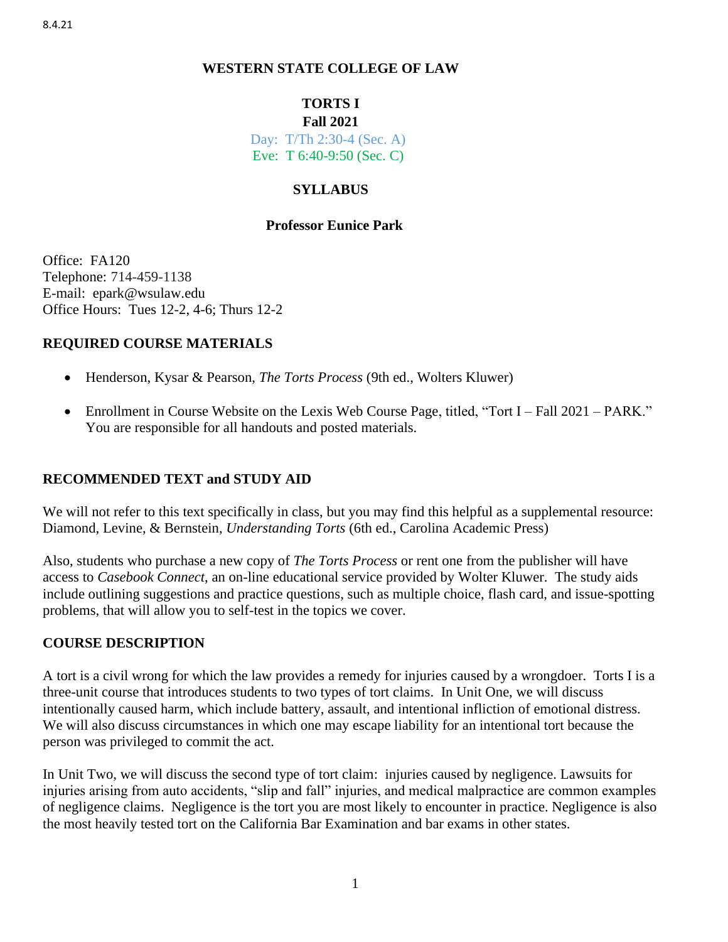# **WESTERN STATE COLLEGE OF LAW**

# **TORTS I**

### **Fall 2021**

Day: T/Th 2:30-4 (Sec. A) Eve: T 6:40-9:50 (Sec. C)

# **SYLLABUS**

# **Professor Eunice Park**

Office: FA120 Telephone: 714-459-1138 E-mail: epark@wsulaw.edu Office Hours: Tues 12-2, 4-6; Thurs 12-2

# **REQUIRED COURSE MATERIALS**

- Henderson, Kysar & Pearson, *The Torts Process* (9th ed., Wolters Kluwer)
- Enrollment in Course Website on the Lexis Web Course Page, titled, "Tort I Fall 2021 PARK." You are responsible for all handouts and posted materials.

# **RECOMMENDED TEXT and STUDY AID**

We will not refer to this text specifically in class, but you may find this helpful as a supplemental resource: Diamond, Levine, & Bernstein, *Understanding Torts* (6th ed., Carolina Academic Press)

Also, students who purchase a new copy of *The Torts Process* or rent one from the publisher will have access to *Casebook Connect*, an on-line educational service provided by Wolter Kluwer. The study aids include outlining suggestions and practice questions, such as multiple choice, flash card, and issue-spotting problems, that will allow you to self-test in the topics we cover.

# **COURSE DESCRIPTION**

A tort is a civil wrong for which the law provides a remedy for injuries caused by a wrongdoer. Torts I is a three-unit course that introduces students to two types of tort claims. In Unit One, we will discuss intentionally caused harm, which include battery, assault, and intentional infliction of emotional distress. We will also discuss circumstances in which one may escape liability for an intentional tort because the person was privileged to commit the act.

In Unit Two, we will discuss the second type of tort claim: injuries caused by negligence. Lawsuits for injuries arising from auto accidents, "slip and fall" injuries, and medical malpractice are common examples of negligence claims. Negligence is the tort you are most likely to encounter in practice. Negligence is also the most heavily tested tort on the California Bar Examination and bar exams in other states.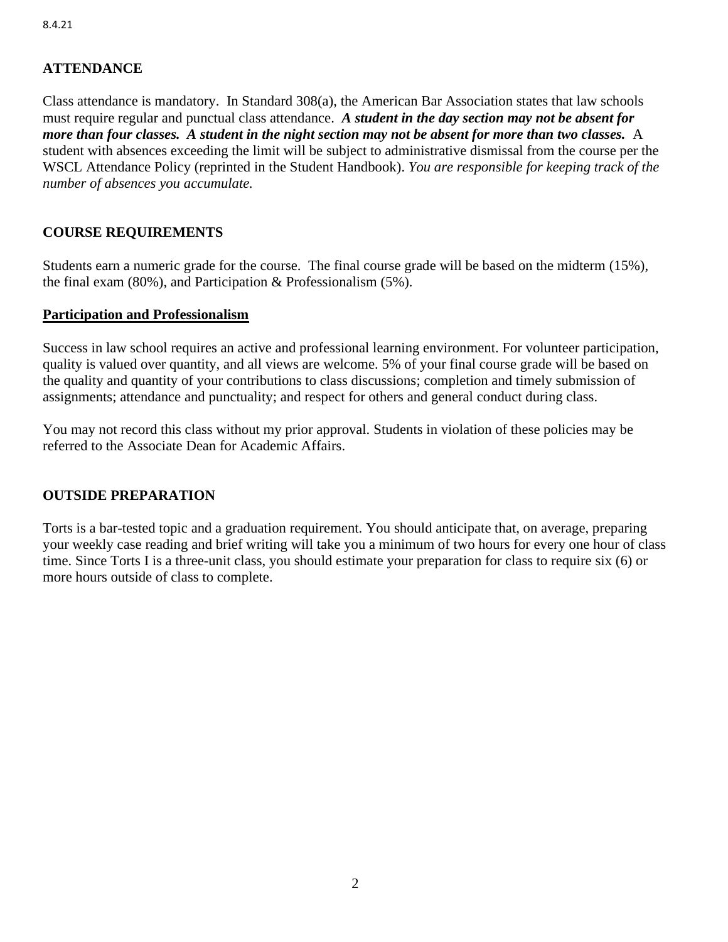# **ATTENDANCE**

Class attendance is mandatory. In Standard 308(a), the American Bar Association states that law schools must require regular and punctual class attendance. *A student in the day section may not be absent for more than four classes. A student in the night section may not be absent for more than two classes.* A student with absences exceeding the limit will be subject to administrative dismissal from the course per the WSCL Attendance Policy (reprinted in the Student Handbook). *You are responsible for keeping track of the number of absences you accumulate.*

# **COURSE REQUIREMENTS**

Students earn a numeric grade for the course. The final course grade will be based on the midterm (15%), the final exam (80%), and Participation & Professionalism (5%).

### **Participation and Professionalism**

Success in law school requires an active and professional learning environment. For volunteer participation, quality is valued over quantity, and all views are welcome. 5% of your final course grade will be based on the quality and quantity of your contributions to class discussions; completion and timely submission of assignments; attendance and punctuality; and respect for others and general conduct during class.

You may not record this class without my prior approval. Students in violation of these policies may be referred to the Associate Dean for Academic Affairs.

# **OUTSIDE PREPARATION**

Torts is a bar-tested topic and a graduation requirement. You should anticipate that, on average, preparing your weekly case reading and brief writing will take you a minimum of two hours for every one hour of class time. Since Torts I is a three-unit class, you should estimate your preparation for class to require six (6) or more hours outside of class to complete.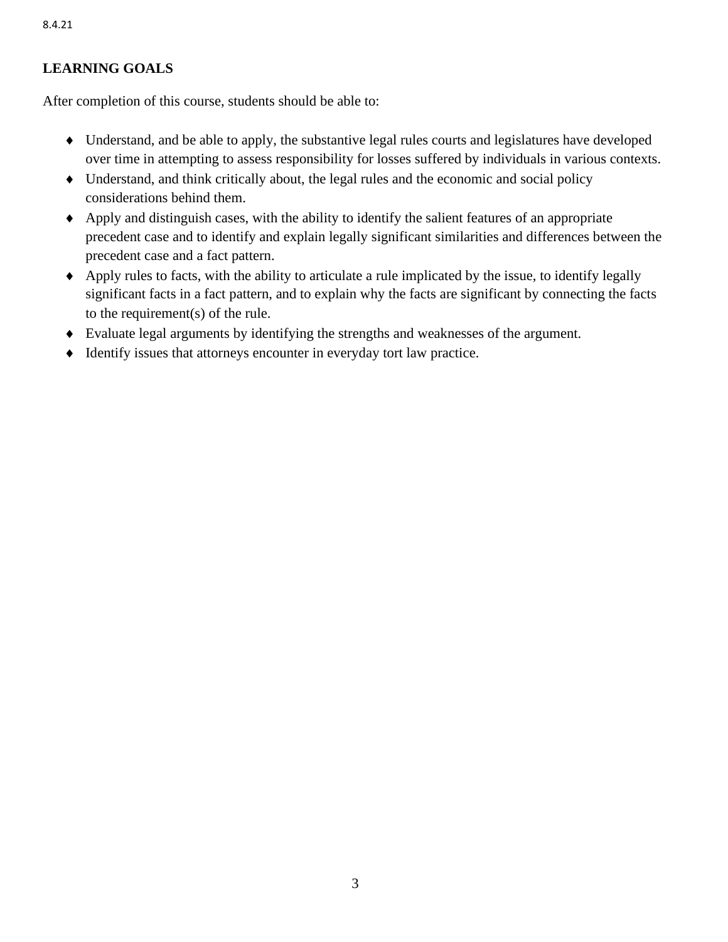# **LEARNING GOALS**

After completion of this course, students should be able to:

- Understand, and be able to apply, the substantive legal rules courts and legislatures have developed over time in attempting to assess responsibility for losses suffered by individuals in various contexts.
- Understand, and think critically about, the legal rules and the economic and social policy considerations behind them.
- Apply and distinguish cases, with the ability to identify the salient features of an appropriate precedent case and to identify and explain legally significant similarities and differences between the precedent case and a fact pattern.
- Apply rules to facts, with the ability to articulate a rule implicated by the issue, to identify legally significant facts in a fact pattern, and to explain why the facts are significant by connecting the facts to the requirement(s) of the rule.
- Evaluate legal arguments by identifying the strengths and weaknesses of the argument.
- Identify issues that attorneys encounter in everyday tort law practice.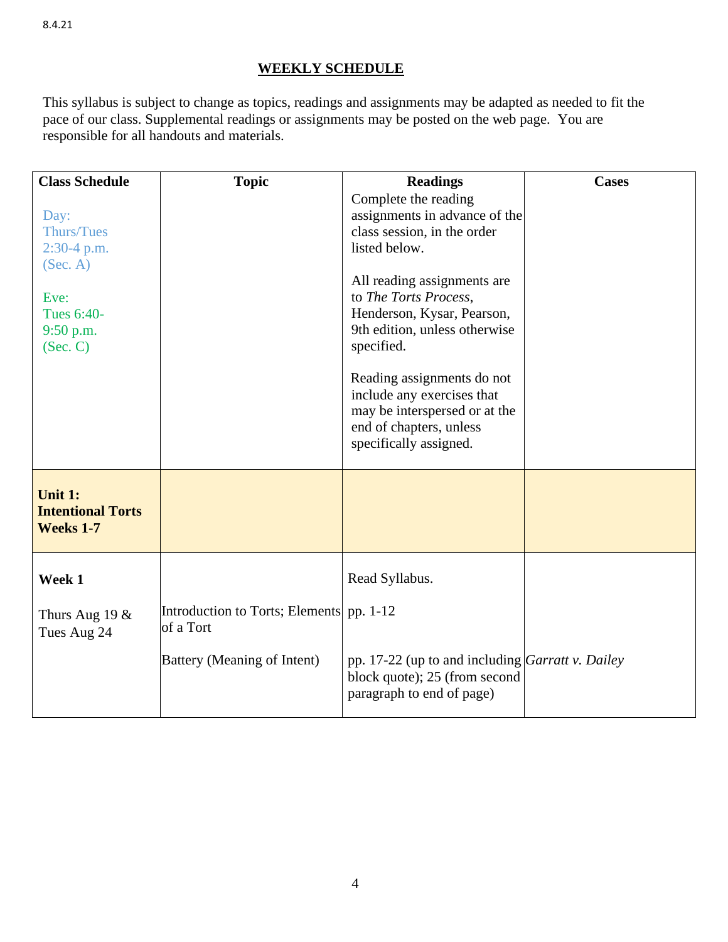# **WEEKLY SCHEDULE**

This syllabus is subject to change as topics, readings and assignments may be adapted as needed to fit the pace of our class. Supplemental readings or assignments may be posted on the web page. You are responsible for all handouts and materials.

| <b>Class Schedule</b>                                                                                 | <b>Topic</b>                                          | <b>Readings</b>                                                                                                                                                                                                                                                                                                                                                                              | <b>Cases</b> |
|-------------------------------------------------------------------------------------------------------|-------------------------------------------------------|----------------------------------------------------------------------------------------------------------------------------------------------------------------------------------------------------------------------------------------------------------------------------------------------------------------------------------------------------------------------------------------------|--------------|
| Day:<br><b>Thurs/Tues</b><br>$2:30-4$ p.m.<br>(Sec. A)<br>Eve:<br>Tues 6:40-<br>9:50 p.m.<br>(Sec. C) |                                                       | Complete the reading<br>assignments in advance of the<br>class session, in the order<br>listed below.<br>All reading assignments are<br>to The Torts Process,<br>Henderson, Kysar, Pearson,<br>9th edition, unless otherwise<br>specified.<br>Reading assignments do not<br>include any exercises that<br>may be interspersed or at the<br>end of chapters, unless<br>specifically assigned. |              |
| Unit 1:<br><b>Intentional Torts</b><br><b>Weeks 1-7</b>                                               |                                                       |                                                                                                                                                                                                                                                                                                                                                                                              |              |
| Week 1                                                                                                |                                                       | Read Syllabus.                                                                                                                                                                                                                                                                                                                                                                               |              |
| Thurs Aug 19 $&$<br>Tues Aug 24                                                                       | Introduction to Torts; Elements pp. 1-12<br>of a Tort |                                                                                                                                                                                                                                                                                                                                                                                              |              |
|                                                                                                       | Battery (Meaning of Intent)                           | pp. 17-22 (up to and including Garratt v. Dailey<br>block quote); 25 (from second<br>paragraph to end of page)                                                                                                                                                                                                                                                                               |              |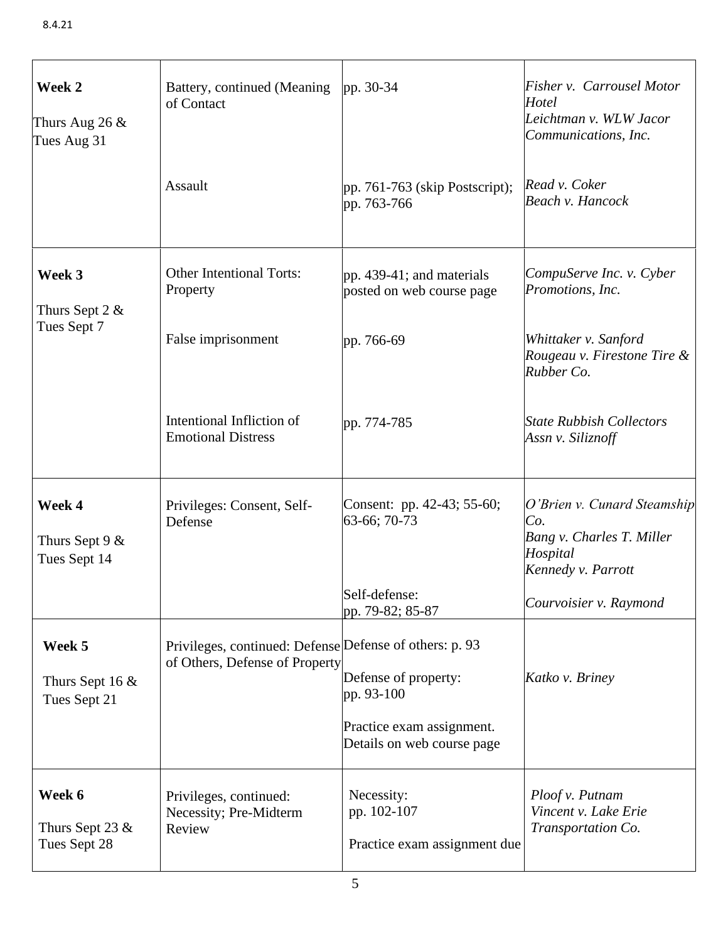| Week 2<br>Thurs Aug 26 $&$<br>Tues Aug 31   | Battery, continued (Meaning<br>of Contact                                                 | pp. $30-34$                                                                                   | Fisher v. Carrousel Motor<br>Hotel<br>Leichtman v. WLW Jacor<br>Communications, Inc.              |
|---------------------------------------------|-------------------------------------------------------------------------------------------|-----------------------------------------------------------------------------------------------|---------------------------------------------------------------------------------------------------|
|                                             | Assault                                                                                   | pp. $761-763$ (skip Postscript);<br>pp. 763-766                                               | Read v. Coker<br>Beach v. Hancock                                                                 |
| Week 3<br>Thurs Sept 2 $&$                  | <b>Other Intentional Torts:</b><br>Property                                               | pp. 439-41; and materials<br>posted on web course page                                        | CompuServe Inc. v. Cyber<br>Promotions, Inc.                                                      |
| Tues Sept 7                                 | False imprisonment                                                                        | pp. 766-69                                                                                    | Whittaker v. Sanford<br>Rougeau v. Firestone Tire &<br>Rubber Co.                                 |
|                                             | Intentional Infliction of<br><b>Emotional Distress</b>                                    | pp. 774-785                                                                                   | <b>State Rubbish Collectors</b><br>Assn v. Siliznoff                                              |
| Week 4<br>Thurs Sept 9 $&$<br>Tues Sept 14  | Privileges: Consent, Self-<br>Defense                                                     | Consent: pp. 42-43; 55-60;<br>63-66; 70-73                                                    | O'Brien v. Cunard Steamship<br>Co.<br>Bang v. Charles T. Miller<br>Hospital<br>Kennedy v. Parrott |
|                                             |                                                                                           | Self-defense:<br>pp. 79-82; 85-87                                                             | Courvoisier v. Raymond                                                                            |
| Week 5<br>Thurs Sept 16 $&$<br>Tues Sept 21 | Privileges, continued: Defense Defense of others: p. 93<br>of Others, Defense of Property | Defense of property:<br>pp. 93-100<br>Practice exam assignment.<br>Details on web course page | Katko v. Briney                                                                                   |
| Week 6<br>Thurs Sept 23 $&$<br>Tues Sept 28 | Privileges, continued:<br>Necessity; Pre-Midterm<br>Review                                | Necessity:<br>pp. 102-107<br>Practice exam assignment due                                     | Ploof v. Putnam<br>Vincent v. Lake Erie<br>Transportation Co.                                     |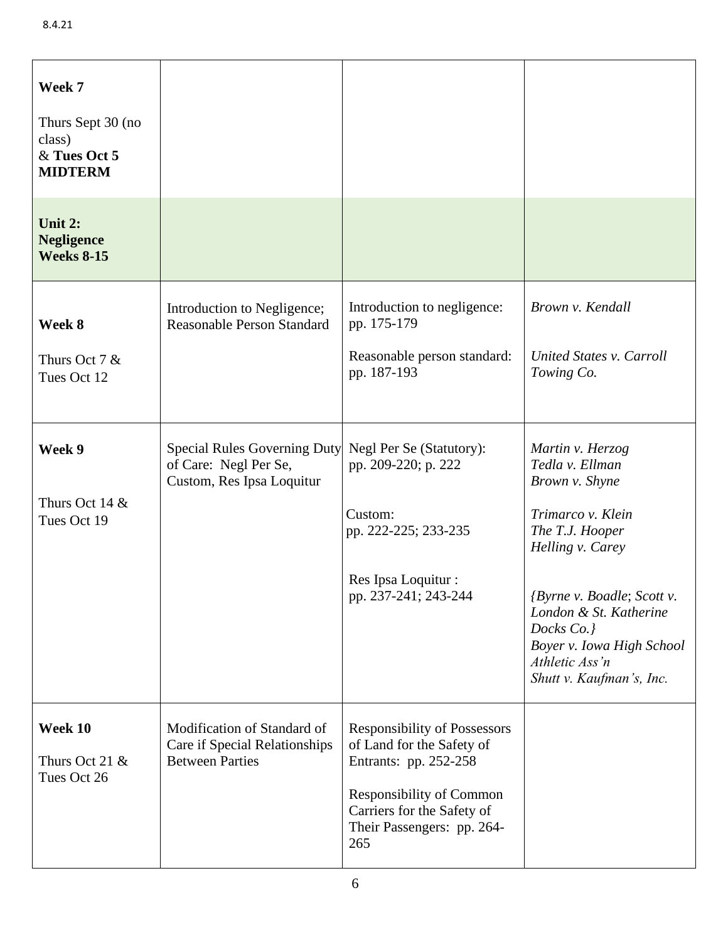| Week 7<br>Thurs Sept 30 (no<br>class)<br>& Tues Oct 5<br><b>MIDTERM</b> |                                                                                           |                                                                                                                                                                                                 |                                                                                                                                                                                                                                                                           |
|-------------------------------------------------------------------------|-------------------------------------------------------------------------------------------|-------------------------------------------------------------------------------------------------------------------------------------------------------------------------------------------------|---------------------------------------------------------------------------------------------------------------------------------------------------------------------------------------------------------------------------------------------------------------------------|
| Unit 2:<br><b>Negligence</b><br><b>Weeks 8-15</b>                       |                                                                                           |                                                                                                                                                                                                 |                                                                                                                                                                                                                                                                           |
| Week 8<br>Thurs Oct 7 $&$<br>Tues Oct 12                                | Introduction to Negligence;<br><b>Reasonable Person Standard</b>                          | Introduction to negligence:<br>pp. 175-179<br>Reasonable person standard:<br>pp. 187-193                                                                                                        | Brown v. Kendall<br>United States v. Carroll<br>Towing Co.                                                                                                                                                                                                                |
| Week 9<br>Thurs Oct 14 $&$<br>Tues Oct 19                               | <b>Special Rules Governing Duty</b><br>of Care: Negl Per Se,<br>Custom, Res Ipsa Loquitur | Negl Per Se (Statutory):<br>pp. 209-220; p. 222<br>Custom:<br>pp. 222-225; 233-235<br>Res Ipsa Loquitur :<br>pp. 237-241; 243-244                                                               | Martin v. Herzog<br>Tedla v. Ellman<br>Brown v. Shyne<br>Trimarco v. Klein<br>The T.J. Hooper<br>Helling v. Carey<br><i>{Byrne v. Boadle; Scott v.</i><br>London & St. Katherine<br>Docks Co.}<br>Boyer v. Iowa High School<br>Athletic Ass'n<br>Shutt v. Kaufman's, Inc. |
| Week 10<br>Thurs Oct 21 $&$<br>Tues Oct 26                              | Modification of Standard of<br>Care if Special Relationships<br><b>Between Parties</b>    | <b>Responsibility of Possessors</b><br>of Land for the Safety of<br>Entrants: pp. 252-258<br><b>Responsibility of Common</b><br>Carriers for the Safety of<br>Their Passengers: pp. 264-<br>265 |                                                                                                                                                                                                                                                                           |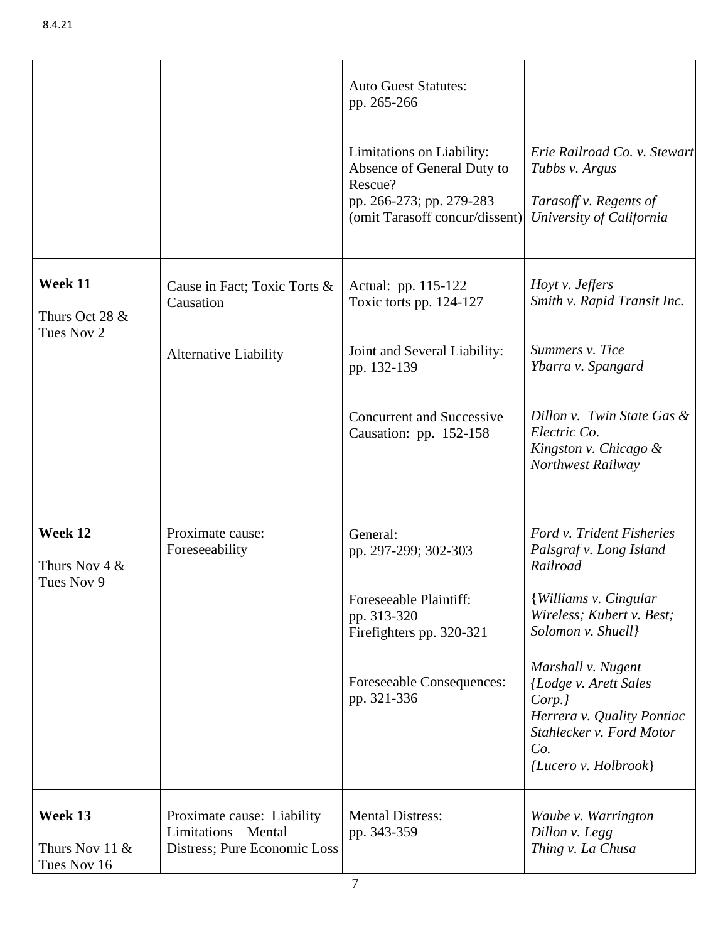|                                            |                                                                                    | <b>Auto Guest Statutes:</b><br>pp. 265-266<br>Limitations on Liability:<br>Absence of General Duty to<br>Rescue?<br>pp. 266-273; pp. 279-283<br>(omit Tarasoff concur/dissent) | Erie Railroad Co. v. Stewart<br>Tubbs v. Argus<br>Tarasoff v. Regents of<br>University of California                                                                                                                                                                                                 |
|--------------------------------------------|------------------------------------------------------------------------------------|--------------------------------------------------------------------------------------------------------------------------------------------------------------------------------|------------------------------------------------------------------------------------------------------------------------------------------------------------------------------------------------------------------------------------------------------------------------------------------------------|
| Week 11<br>Thurs Oct 28 &<br>Tues Nov 2    | Cause in Fact; Toxic Torts &<br>Causation<br><b>Alternative Liability</b>          | Actual: pp. 115-122<br>Toxic torts pp. 124-127<br>Joint and Several Liability:<br>pp. 132-139<br><b>Concurrent and Successive</b><br>Causation: pp. 152-158                    | Hoyt v. Jeffers<br>Smith v. Rapid Transit Inc.<br>Summers v. Tice<br>Ybarra v. Spangard<br>Dillon v. Twin State Gas &<br>Electric Co.<br>Kingston v. Chicago &<br>Northwest Railway                                                                                                                  |
| Week 12<br>Thurs Nov $4 &$<br>Tues Nov 9   | Proximate cause:<br>Foreseeability                                                 | General:<br>pp. 297-299; 302-303<br>Foreseeable Plaintiff:<br>pp. 313-320<br>Firefighters pp. 320-321<br>Foreseeable Consequences:<br>pp. 321-336                              | Ford v. Trident Fisheries<br>Palsgraf v. Long Island<br>Railroad<br><b>{Williams v. Cingular</b><br>Wireless; Kubert v. Best;<br>Solomon v. Shuell}<br>Marshall v. Nugent<br>(Lodge v. Arett Sales<br>Corp.<br>Herrera v. Quality Pontiac<br>Stahlecker v. Ford Motor<br>Co.<br>{Lucero v. Holbrook} |
| Week 13<br>Thurs Nov 11 $&$<br>Tues Nov 16 | Proximate cause: Liability<br>Limitations - Mental<br>Distress; Pure Economic Loss | <b>Mental Distress:</b><br>pp. 343-359                                                                                                                                         | Waube v. Warrington<br>Dillon v. Legg<br>Thing v. La Chusa                                                                                                                                                                                                                                           |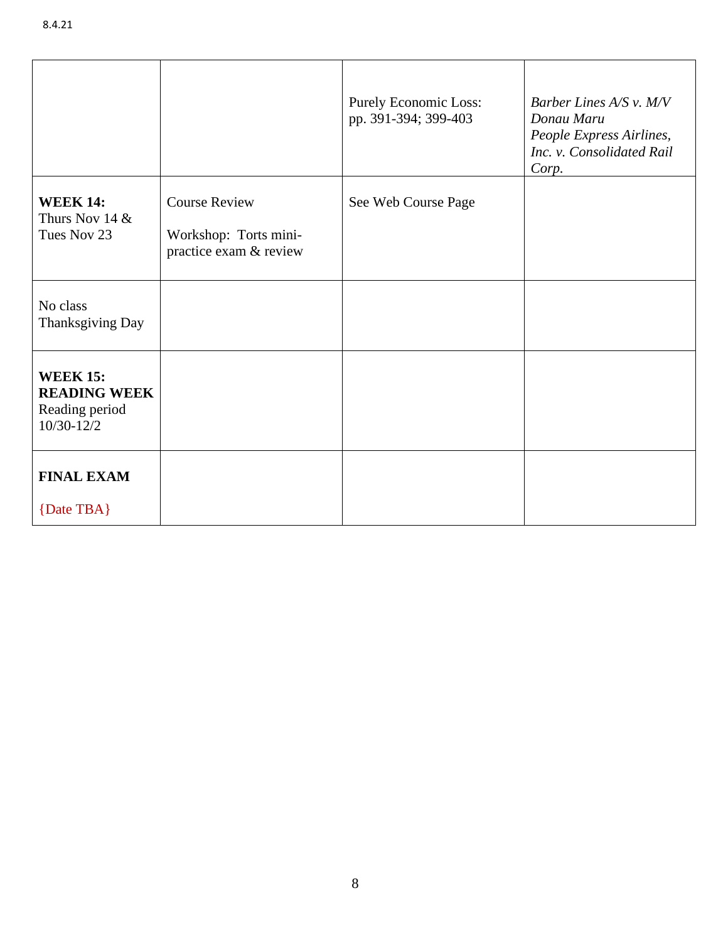|                                                                            |                                                                         | <b>Purely Economic Loss:</b><br>pp. 391-394; 399-403 | Barber Lines $A/S$ v. $M/V$<br>Donau Maru<br>People Express Airlines,<br>Inc. v. Consolidated Rail<br>Corp. |
|----------------------------------------------------------------------------|-------------------------------------------------------------------------|------------------------------------------------------|-------------------------------------------------------------------------------------------------------------|
| <b>WEEK 14:</b><br>Thurs Nov 14 $&$<br>Tues Nov 23                         | <b>Course Review</b><br>Workshop: Torts mini-<br>practice exam & review | See Web Course Page                                  |                                                                                                             |
| No class<br>Thanksgiving Day                                               |                                                                         |                                                      |                                                                                                             |
| <b>WEEK 15:</b><br><b>READING WEEK</b><br>Reading period<br>$10/30 - 12/2$ |                                                                         |                                                      |                                                                                                             |
| <b>FINAL EXAM</b><br>{Date TBA}                                            |                                                                         |                                                      |                                                                                                             |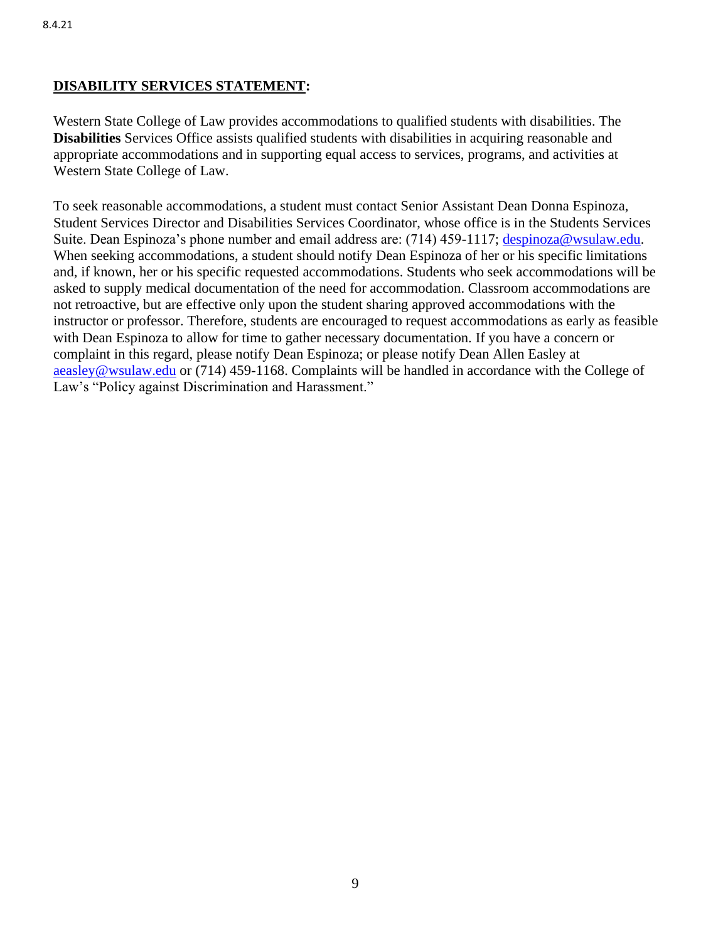# **DISABILITY SERVICES STATEMENT:**

Western State College of Law provides accommodations to qualified students with disabilities. The **Disabilities** Services Office assists qualified students with disabilities in acquiring reasonable and appropriate accommodations and in supporting equal access to services, programs, and activities at Western State College of Law.

To seek reasonable accommodations, a student must contact Senior Assistant Dean Donna Espinoza, Student Services Director and Disabilities Services Coordinator, whose office is in the Students Services Suite. Dean Espinoza's phone number and email address are: (714) 459-1117; [despinoza@wsulaw.edu.](about:blank) When seeking accommodations, a student should notify Dean Espinoza of her or his specific limitations and, if known, her or his specific requested accommodations. Students who seek accommodations will be asked to supply medical documentation of the need for accommodation. Classroom accommodations are not retroactive, but are effective only upon the student sharing approved accommodations with the instructor or professor. Therefore, students are encouraged to request accommodations as early as feasible with Dean Espinoza to allow for time to gather necessary documentation. If you have a concern or complaint in this regard, please notify Dean Espinoza; or please notify Dean Allen Easley at [aeasley@wsulaw.edu](about:blank) or (714) 459-1168. Complaints will be handled in accordance with the College of Law's "Policy against Discrimination and Harassment."